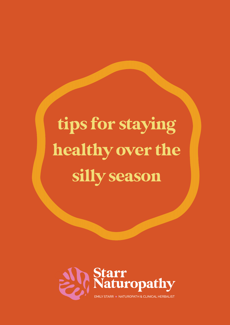# tips for staying healthy over the silly season

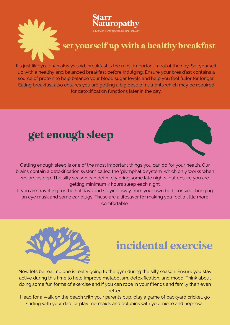

It's just like your nan always said, breakfast is the most important meal of the day. Set yourself up with a healthy and balanced breakfast before indulging. Ensure your breakfast contains a source of protein to help balance your blood sugar levels and help you feel fuller for longer. Eating breakfast also ensures you are getting a big dose of nutrients which may be required for detoxification functions later in the day.

## get enough sleep



Getting enough sleep is one of the most important things you can do for your health. Our brains contain a detoxification system called the 'glymphatic system' which only works when we are asleep. The silly season can definitely bring some late nights, but ensure you are getting minimum 7 hours sleep each night.

If you are travelling for the holidays and staying away from your own bed, consider bringing an eye mask and some ear plugs. These are a lifesaver for making you feel a little more comfortable.



#### incidental exercise

Now lets be real, no one is really going to the gym during the silly season. Ensure you stay active during this time to help improve metabolism, detoxification, and mood. Think about doing some fun forms of exercise and if you can rope in your friends and family then even better.

Head for a walk on the beach with your parents pup, play a game of backyard cricket, go surfing with your dad, or play mermaids and dolphins with your niece and nephew.